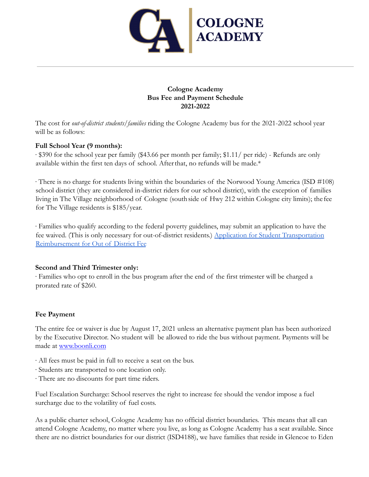

## **Cologne Academy Bus Fee and Payment Schedule 2021-2022**

The cost for *out-of-district students/families* riding the Cologne Academy bus for the 2021-2022 school year will be as follows:

## **Full School Year (9 months):**

∙ \$390 for the school year per family (\$43.66 per month per family; \$1.11/ per ride) - Refunds are only available within the first ten days of school. Afterthat, no refunds will be made.\*

∙ There is no charge for students living within the boundaries of the Norwood Young America (ISD #108) school district (they are considered in-district riders for our school district), with the exception of families living in The Village neighborhood of Cologne (southside of Hwy 212 within Cologne city limits); the fee for The Village residents is \$185/year.

∙ Families who qualify according to the federal poverty guidelines, may submit an application to have the fee waived. (This is only necessary for out-of-district residents.) [Application for Student Transportation](https://cologneacademy.org/wp-content/uploads/2015/07/Student-Transportation-Reimbursement-for-Out-of-District-Fee.pdf) [Reimbursement for Out of District Fee](https://cologneacademy.org/wp-content/uploads/2015/07/Student-Transportation-Reimbursement-for-Out-of-District-Fee.pdf)

## **Second and Third Trimester only:**

∙ Families who opt to enroll in the bus program after the end of the first trimester will be charged a prorated rate of \$260.

## **Fee Payment**

The entire fee or waiver is due by August 17, 2021 unless an alternative payment plan has been authorized by the Executive Director. No student will be allowed to ride the bus without payment. Payments will be made at www.boonli.com

- ∙ All fees must be paid in full to receive a seat on the bus.
- ∙ Students are transported to one location only.
- ∙ There are no discounts for part time riders.

Fuel Escalation Surcharge: School reserves the right to increase fee should the vendor impose a fuel surcharge due to the volatility of fuel costs.

As a public charter school, Cologne Academy has no official district boundaries. This means that all can attend Cologne Academy, no matter where you live, as long as Cologne Academy has a seat available. Since there are no district boundaries for our district (ISD4188), we have families that reside in Glencoe to Eden